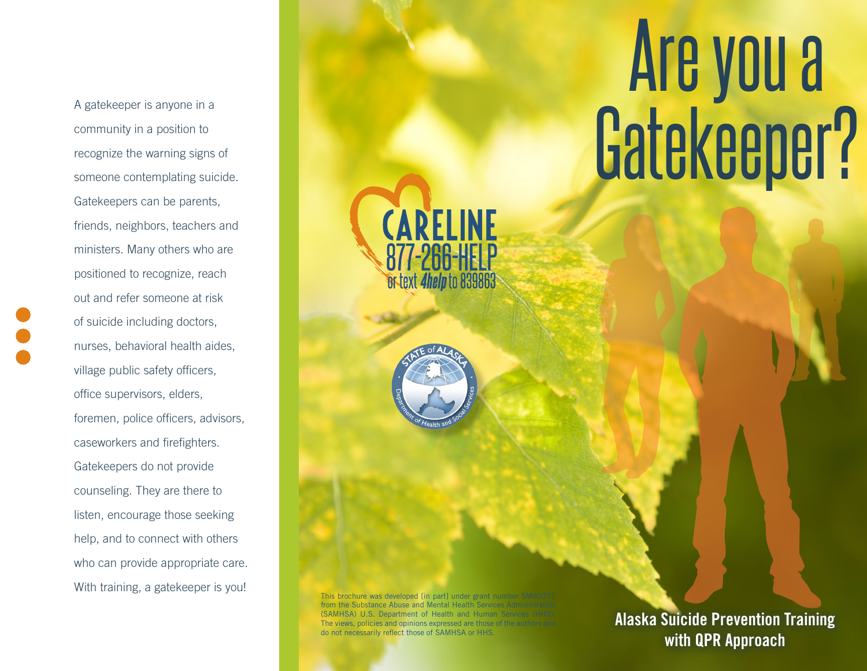A gatekeeper is anyone in a community in a position to recognize the warning signs of someone contemplating suicide. Gatekeepers can be parents, friends, neighbors, teachers and ministers. Many others who are positioned to recognize, reach out and refer someone at risk of suicide including doctors, nurses, behavioral health aides, village public safety officers, office supervisors, elders, foremen, police officers, advisors, caseworkers and firefighters. Gatekeepers do not provide counseling. They are there to listen, encourage those seeking help, and to connect with others who can provide appropriate care. With training, a gatekeeper is you!

## Are you a Gatekeeper?

This brochure was developed [in part] under grant number SM60371 from the Substance Abuse and Mental Health Services Administration (SAMHSA) U.S. Department of Health and Human Services (HHS). The views, policies and opinions expressed are those of the authors and do not necessarily reflect those of SAMHSA or HHS.

**CARELINE** 

Br text *4help* to 839863

Alaska Suicide Prevention Training with QPR Approach